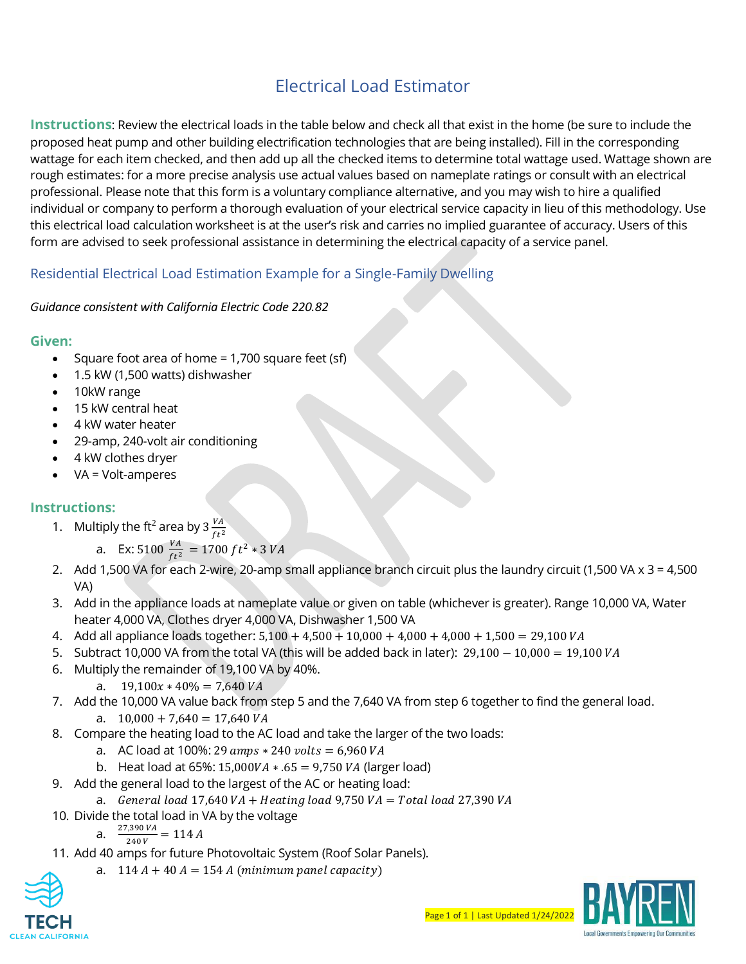# Electrical Load Estimator

**Instructions**: Review the electrical loads in the table below and check all that exist in the home (be sure to include the proposed heat pump and other building electrification technologies that are being installed). Fill in the corresponding wattage for each item checked, and then add up all the checked items to determine total wattage used. Wattage shown are rough estimates: for a more precise analysis use actual values based on nameplate ratings or consult with an electrical professional. Please note that this form is a voluntary compliance alternative, and you may wish to hire a qualified individual or company to perform a thorough evaluation of your electrical service capacity in lieu of this methodology. Use this electrical load calculation worksheet is at the user's risk and carries no implied guarantee of accuracy. Users of this form are advised to seek professional assistance in determining the electrical capacity of a service panel.

## Residential Electrical Load Estimation Example for a Single-Family Dwelling

#### *Guidance consistent with California Electric Code 220.82*

#### **Given:**

- Square foot area of home = 1,700 square feet (sf)
- 1.5 kW (1,500 watts) dishwasher
- 10kW range
- 15 kW central heat
- 4 kW water heater
- 29-amp, 240-volt air conditioning
- 4 kW clothes dryer
- VA = Volt-amperes

### **Instructions:**

1. Multiply the ft<sup>2</sup> area by 3  $\frac{VA}{\epsilon t^2}$  $ft<sup>2</sup>$ 

a. Ex: 5100 
$$
\frac{VA}{ft^2}
$$
 = 1700 ft<sup>2</sup> \* 3 VA

- 2. Add 1,500 VA for each 2-wire, 20-amp small appliance branch circuit plus the laundry circuit (1,500 VA x 3 = 4,500 VA)
- 3. Add in the appliance loads at nameplate value or given on table (whichever is greater). Range 10,000 VA, Water heater 4,000 VA, Clothes dryer 4,000 VA, Dishwasher 1,500 VA
- 4. Add all appliance loads together:  $5,100 + 4,500 + 10,000 + 4,000 + 4,000 + 1,500 = 29,100 VA$
- 5. Subtract 10,000 VA from the total VA (this will be added back in later): 29,100 − 10,000 = 19,100 VA
- 6. Multiply the remainder of 19,100 VA by 40%.
	- a.  $19,100x * 40\% = 7,640 VA$
- 7. Add the 10,000 VA value back from step 5 and the 7,640 VA from step 6 together to find the general load. a.  $10,000 + 7,640 = 17,640 VA$
- 8. Compare the heating load to the AC load and take the larger of the two loads:
	- a. AC load at 100%: 29  $amps * 240$  volts = 6,960 VA
	- b. Heat load at  $65\%$ : 15,000VA  $*$  .65 = 9,750 VA (larger load)
- 9. Add the general load to the largest of the AC or heating load:
- a. General load  $17,640 VA + Heating load 9,750 VA = Total load 27,390 VA$
- 10. Divide the total load in VA by the voltage

a. 
$$
\frac{27,390\,VA}{240\,V} = 114\,A
$$

- 11. Add 40 amps for future Photovoltaic System (Roof Solar Panels).
	- a.  $114 A + 40 A = 154 A$  (minimum panel capacity)



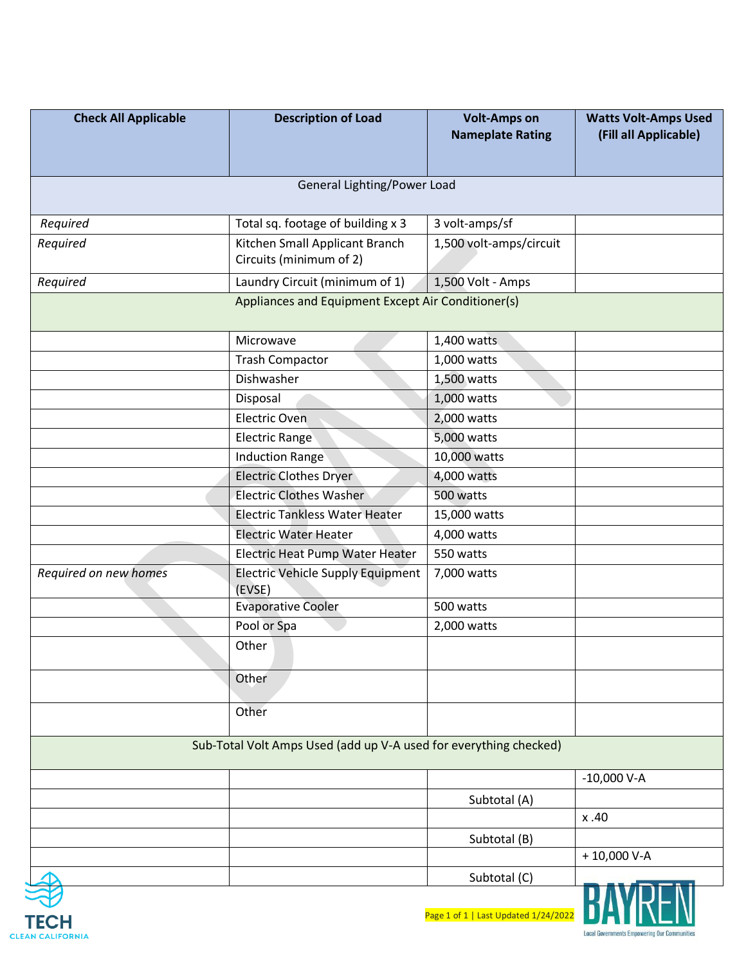| <b>Check All Applicable</b>                                       | <b>Description of Load</b>                                | <b>Volt-Amps on</b><br><b>Nameplate Rating</b> | <b>Watts Volt-Amps Used</b><br>(Fill all Applicable) |  |
|-------------------------------------------------------------------|-----------------------------------------------------------|------------------------------------------------|------------------------------------------------------|--|
| General Lighting/Power Load                                       |                                                           |                                                |                                                      |  |
| Required                                                          | Total sq. footage of building x 3                         | 3 volt-amps/sf                                 |                                                      |  |
| Required                                                          | Kitchen Small Applicant Branch<br>Circuits (minimum of 2) | 1,500 volt-amps/circuit                        |                                                      |  |
| Required                                                          | Laundry Circuit (minimum of 1)                            | 1,500 Volt - Amps                              |                                                      |  |
|                                                                   | Appliances and Equipment Except Air Conditioner(s)        |                                                |                                                      |  |
|                                                                   | Microwave                                                 | 1,400 watts                                    |                                                      |  |
|                                                                   | <b>Trash Compactor</b>                                    | 1,000 watts                                    |                                                      |  |
|                                                                   | Dishwasher                                                | 1,500 watts                                    |                                                      |  |
|                                                                   | Disposal                                                  | 1,000 watts                                    |                                                      |  |
|                                                                   | <b>Electric Oven</b>                                      | 2,000 watts                                    |                                                      |  |
|                                                                   | <b>Electric Range</b>                                     | 5,000 watts                                    |                                                      |  |
|                                                                   | <b>Induction Range</b>                                    | 10,000 watts                                   |                                                      |  |
|                                                                   | <b>Electric Clothes Dryer</b>                             | 4,000 watts                                    |                                                      |  |
|                                                                   | <b>Electric Clothes Washer</b>                            | 500 watts                                      |                                                      |  |
|                                                                   | <b>Electric Tankless Water Heater</b>                     | 15,000 watts                                   |                                                      |  |
|                                                                   | <b>Electric Water Heater</b>                              | 4,000 watts                                    |                                                      |  |
|                                                                   | Electric Heat Pump Water Heater                           | 550 watts                                      |                                                      |  |
| Required on new homes                                             | <b>Electric Vehicle Supply Equipment</b><br>(EVSE)        | 7,000 watts                                    |                                                      |  |
|                                                                   | <b>Evaporative Cooler</b>                                 | 500 watts                                      |                                                      |  |
|                                                                   | Pool or Spa                                               | 2,000 watts                                    |                                                      |  |
|                                                                   | Other                                                     |                                                |                                                      |  |
|                                                                   | Other                                                     |                                                |                                                      |  |
|                                                                   | Other                                                     |                                                |                                                      |  |
| Sub-Total Volt Amps Used (add up V-A used for everything checked) |                                                           |                                                |                                                      |  |
|                                                                   |                                                           |                                                | $-10,000$ V-A                                        |  |
|                                                                   |                                                           | Subtotal (A)                                   |                                                      |  |
|                                                                   |                                                           |                                                | x.40                                                 |  |
|                                                                   |                                                           | Subtotal (B)                                   |                                                      |  |
|                                                                   |                                                           |                                                | $+10,000$ V-A                                        |  |
|                                                                   |                                                           | Subtotal (C)                                   |                                                      |  |
|                                                                   |                                                           | Page 1 of 1   Last Undated 1/24                |                                                      |  |



ge 1 of 1 | Last Updated 1/24/2022 |  $\blacksquare$   $\blacksquare$   $\blacksquare$   $\blacksquare$   $\blacksquare$   $\blacksquare$   $\blacksquare$ 

**Local Governments Empowering Our Communities**